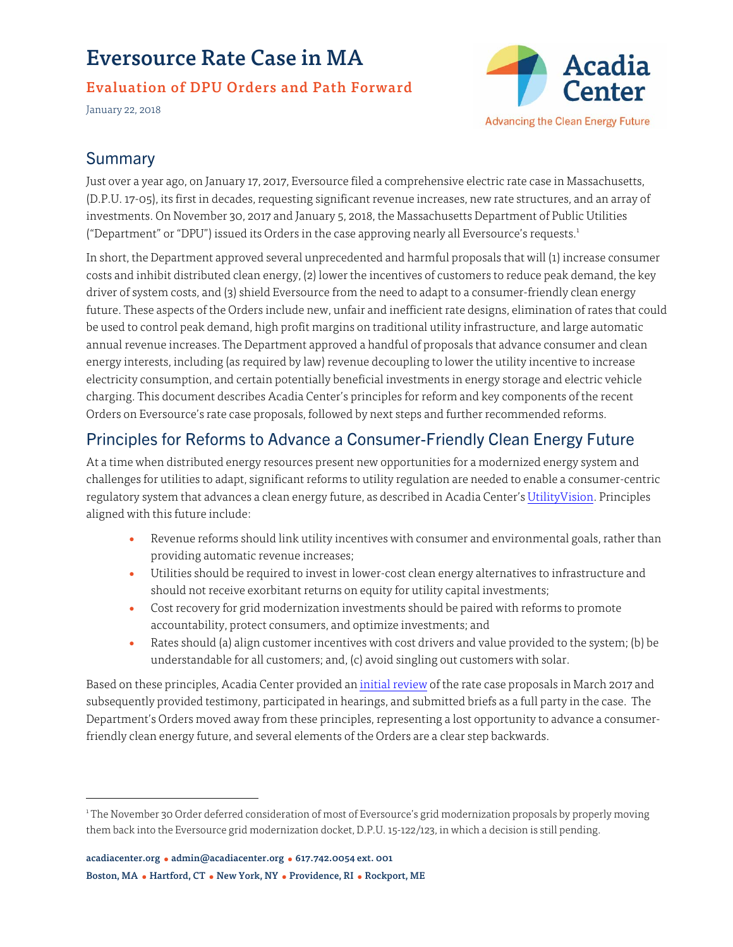# Eversource Rate Case in MA

#### Evaluation of DPU Orders and Path Forward

January 22, 2018



## **Summary**

Just over a year ago, on January 17, 2017, Eversource filed a comprehensive electric rate case in Massachusetts, (D.P.U. 17-05), its first in decades, requesting significant revenue increases, new rate structures, and an array of investments. On November 30, 2017 and January 5, 2018, the Massachusetts Department of Public Utilities ("Department" or "DPU") issued its Orders in the case approving nearly all Eversource's requests.<sup>1</sup>

In short, the Department approved several unprecedented and harmful proposals that will (1) increase consumer costs and inhibit distributed clean energy, (2) lower the incentives of customers to reduce peak demand, the key driver of system costs, and (3) shield Eversource from the need to adapt to a consumer-friendly clean energy future. These aspects of the Orders include new, unfair and inefficient rate designs, elimination of rates that could be used to control peak demand, high profit margins on traditional utility infrastructure, and large automatic annual revenue increases. The Department approved a handful of proposals that advance consumer and clean energy interests, including (as required by law) revenue decoupling to lower the utility incentive to increase electricity consumption, and certain potentially beneficial investments in energy storage and electric vehicle charging. This document describes Acadia Center's principles for reform and key components of the recent Orders on Eversource's rate case proposals, followed by next steps and further recommended reforms.

# Principles for Reforms to Advance a Consumer-Friendly Clean Energy Future

At a time when distributed energy resources present new opportunities for a modernized energy system and challenges for utilities to adapt, significant reforms to utility regulation are needed to enable a consumer-centric regulatory system that advances a clean energy future, as described in Acadia Center'[s UtilityVision.](http://acadiacenter.org/document/local-energy-investment-and-infrastructure-modernization/) Principles aligned with this future include:

- Revenue reforms should link utility incentives with consumer and environmental goals, rather than providing automatic revenue increases;
- Utilities should be required to invest in lower-cost clean energy alternatives to infrastructure and should not receive exorbitant returns on equity for utility capital investments;
- Cost recovery for grid modernization investments should be paired with reforms to promote accountability, protect consumers, and optimize investments; and
- Rates should (a) align customer incentives with cost drivers and value provided to the system; (b) be understandable for all customers; and, (c) avoid singling out customers with solar.

Based on these principles, Acadia Center provided a[n initial review o](http://acadiacenter.org/document/eversource-rate-case-in-ma-issues-and-solutions/)f the rate case proposals in March 2017 and subsequently provided testimony, participated in hearings, and submitted briefs as a full party in the case. The Department's Orders moved away from these principles, representing a lost opportunity to advance a consumerfriendly clean energy future, and several elements of the Orders are a clear step backwards.

<sup>1</sup> The November 30 Order deferred consideration of most of Eversource's grid modernization proposals by properly moving them back into the Eversource grid modernization docket, D.P.U. 15-122/123, in which a decision is still pending.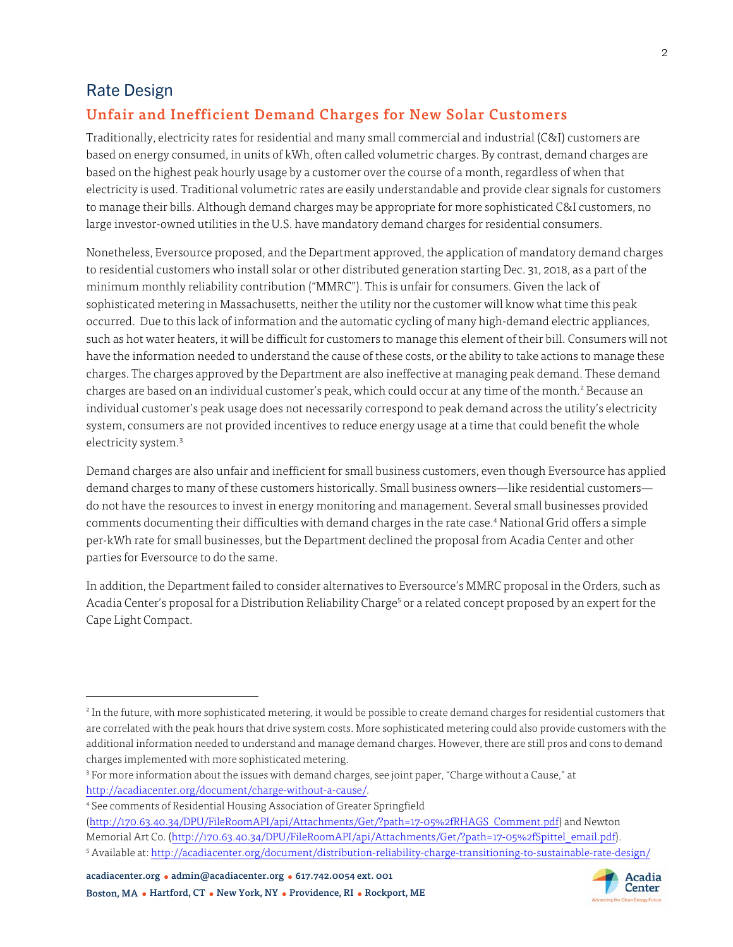#### Rate Design

### Unfair and Inefficient Demand Charges for New Solar Customers

Traditionally, electricity rates for residential and many small commercial and industrial (C&I) customers are based on energy consumed, in units of kWh, often called volumetric charges. By contrast, demand charges are based on the highest peak hourly usage by a customer over the course of a month, regardless of when that electricity is used. Traditional volumetric rates are easily understandable and provide clear signals for customers to manage their bills. Although demand charges may be appropriate for more sophisticated C&I customers, no large investor-owned utilities in the U.S. have mandatory demand charges for residential consumers.

Nonetheless, Eversource proposed, and the Department approved, the application of mandatory demand charges to residential customers who install solar or other distributed generation starting Dec. 31, 2018, as a part of the minimum monthly reliability contribution ("MMRC"). This is unfair for consumers. Given the lack of sophisticated metering in Massachusetts, neither the utility nor the customer will know what time this peak occurred. Due to this lack of information and the automatic cycling of many high-demand electric appliances, such as hot water heaters, it will be difficult for customers to manage this element of their bill. Consumers will not have the information needed to understand the cause of these costs, or the ability to take actions to manage these charges. The charges approved by the Department are also ineffective at managing peak demand. These demand charges are based on an individual customer's peak, which could occur at any time of the month.<sup>2</sup> Because an individual customer's peak usage does not necessarily correspond to peak demand across the utility's electricity system, consumers are not provided incentives to reduce energy usage at a time that could benefit the whole electricity system.<sup>3</sup>

Demand charges are also unfair and inefficient for small business customers, even though Eversource has applied demand charges to many of these customers historically. Small business owners—like residential customers do not have the resources to invest in energy monitoring and management. Several small businesses provided comments documenting their difficulties with demand charges in the rate case.<sup>4</sup> National Grid offers a simple per-kWh rate for small businesses, but the Department declined the proposal from Acadia Center and other parties for Eversource to do the same.

In addition, the Department failed to consider alternatives to Eversource's MMRC proposal in the Orders, such as Acadia Center's proposal for a Distribution Reliability Charge<sup>5</sup> or a related concept proposed by an expert for the Cape Light Compact.

<sup>&</sup>lt;sup>2</sup> In the future, with more sophisticated metering, it would be possible to create demand charges for residential customers that are correlated with the peak hours that drive system costs. More sophisticated metering could also provide customers with the additional information needed to understand and manage demand charges. However, there are still pros and cons to demand charges implemented with more sophisticated metering.

<sup>3</sup> For more information about the issues with demand charges, see joint paper, "Charge without a Cause," at [http://acadiacenter.org/document/charge-without-a-cause/.](http://acadiacenter.org/document/charge-without-a-cause/) 

<sup>4</sup> See comments of Residential Housing Association of Greater Springfield

[<sup>\(</sup>http://170.63.40.34/DPU/FileRoomAPI/api/Attachments/Get/?path=17-05%2fRHAGS\\_Comment.pdf\) a](http://170.63.40.34/DPU/FileRoomAPI/api/Attachments/Get/?path=17-05%2fRHAGS_Comment.pdf)nd Newton Memorial Art Co. [\(http://170.63.40.34/DPU/FileRoomAPI/api/Attachments/Get/?path=17-05%2fSpittel\\_email.pdf\).](http://170.63.40.34/DPU/FileRoomAPI/api/Attachments/Get/?path=17-05%2fSpittel_email.pdf) 

<sup>5</sup> Available at:<http://acadiacenter.org/document/distribution-reliability-charge-transitioning-to-sustainable-rate-design/>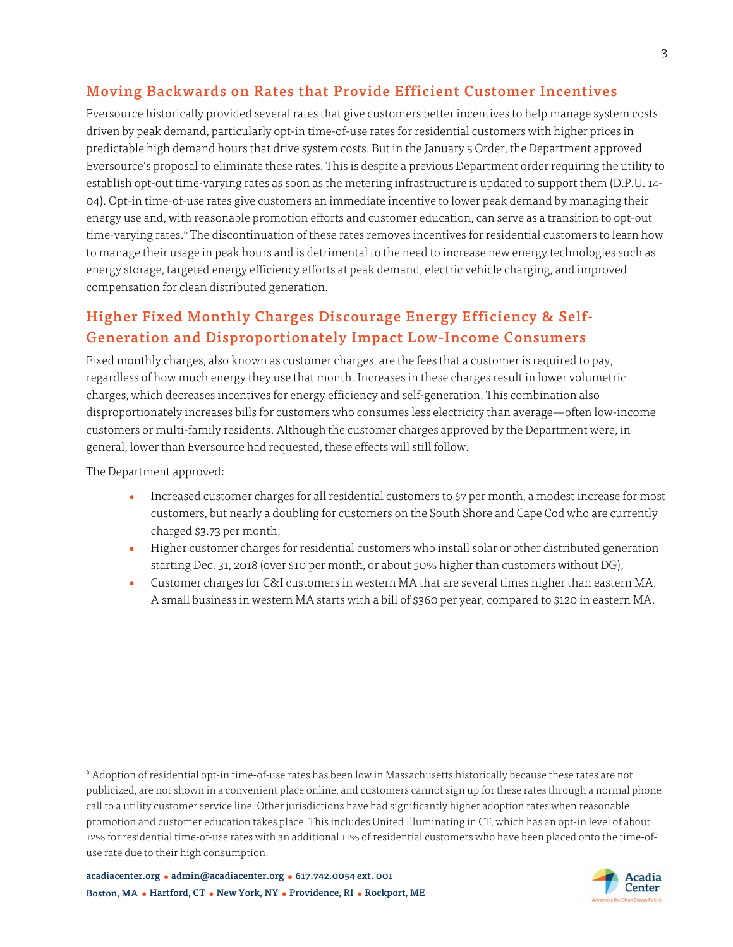#### Moving Backwards on Rates that Provide Efficient Customer Incentives

Eversource historically provided several rates that give customers better incentives to help manage system costs driven by peak demand, particularly opt-in time-of-use rates for residential customers with higher prices in predictable high demand hours that drive system costs. But in the January 5 Order, the Department approved Eversource's proposal to eliminate these rates. This is despite a previous Department order requiring the utility to establish opt-out time-varying rates as soon as the metering infrastructure is updated to support them (D.P.U. 14- 04). Opt-in time-of-use rates give customers an immediate incentive to lower peak demand by managing their energy use and, with reasonable promotion efforts and customer education, can serve as a transition to opt-out time-varying rates.<sup>6</sup> The discontinuation of these rates removes incentives for residential customers to learn how to manage their usage in peak hours and is detrimental to the need to increase new energy technologies such as energy storage, targeted energy efficiency efforts at peak demand, electric vehicle charging, and improved compensation for clean distributed generation.

## Higher Fixed Monthly Charges Discourage Energy Efficiency & Self-Generation and Disproportionately Impact Low-Income Consumers

Fixed monthly charges, also known as customer charges, are the fees that a customer is required to pay, regardless of how much energy they use that month. Increases in these charges result in lower volumetric charges, which decreases incentives for energy efficiency and self-generation. This combination also disproportionately increases bills for customers who consumes less electricity than average—often low-income customers or multi-family residents. Although the customer charges approved by the Department were, in general, lower than Eversource had requested, these effects will still follow.

The Department approved:

- Increased customer charges for all residential customers to \$7 per month, a modest increase for most customers, but nearly a doubling for customers on the South Shore and Cape Cod who are currently charged \$3.73 per month;
- Higher customer charges for residential customers who install solar or other distributed generation starting Dec. 31, 2018 (over \$10 per month, or about 50% higher than customers without DG);
- Customer charges for C&I customers in western MA that are several times higher than eastern MA. A small business in western MA starts with a bill of \$360 per year, compared to \$120 in eastern MA.

<sup>6</sup> Adoption of residential opt-in time-of-use rates has been low in Massachusetts historically because these rates are not publicized, are not shown in a convenient place online, and customers cannot sign up for these rates through a normal phone call to a utility customer service line. Other jurisdictions have had significantly higher adoption rates when reasonable promotion and customer education takes place. This includes United Illuminating in CT, which has an opt-in level of about 12% for residential time-of-use rates with an additional 11% of residential customers who have been placed onto the time-ofuse rate due to their high consumption.

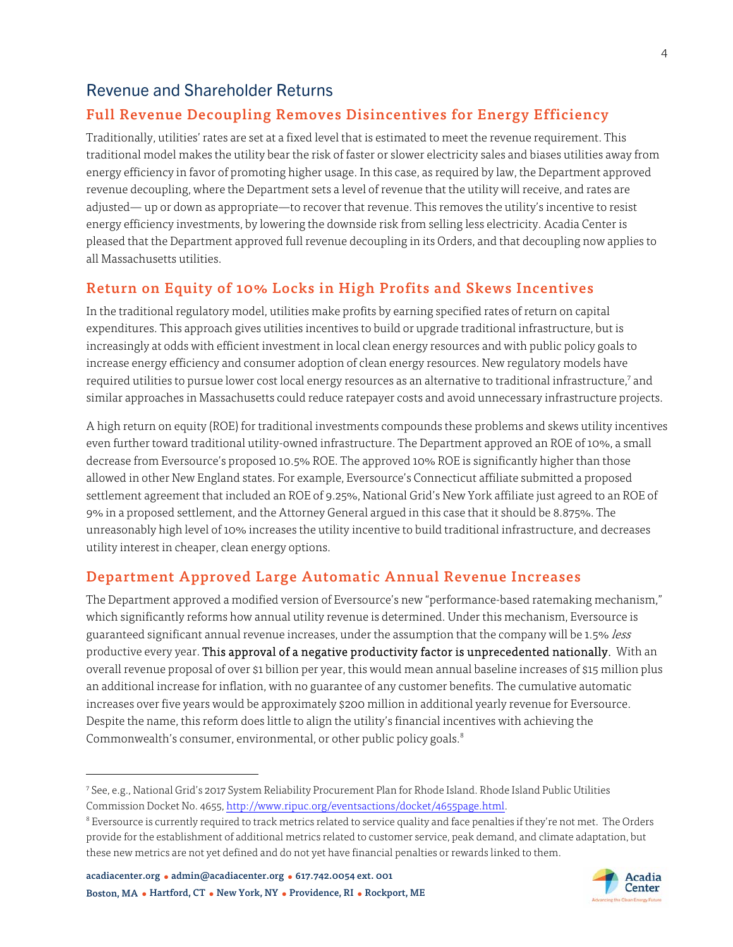## Revenue and Shareholder Returns

## Full Revenue Decoupling Removes Disincentives for Energy Efficiency

Traditionally, utilities' rates are set at a fixed level that is estimated to meet the revenue requirement. This traditional model makes the utility bear the risk of faster or slower electricity sales and biases utilities away from energy efficiency in favor of promoting higher usage. In this case, as required by law, the Department approved revenue decoupling, where the Department sets a level of revenue that the utility will receive, and rates are adjusted— up or down as appropriate—to recover that revenue. This removes the utility's incentive to resist energy efficiency investments, by lowering the downside risk from selling less electricity. Acadia Center is pleased that the Department approved full revenue decoupling in its Orders, and that decoupling now applies to all Massachusetts utilities.

#### Return on Equity of 10% Locks in High Profits and Skews Incentives

In the traditional regulatory model, utilities make profits by earning specified rates of return on capital expenditures. This approach gives utilities incentives to build or upgrade traditional infrastructure, but is increasingly at odds with efficient investment in local clean energy resources and with public policy goals to increase energy efficiency and consumer adoption of clean energy resources. New regulatory models have required utilities to pursue lower cost local energy resources as an alternative to traditional infrastructure,7 and similar approaches in Massachusetts could reduce ratepayer costs and avoid unnecessary infrastructure projects.

A high return on equity (ROE) for traditional investments compounds these problems and skews utility incentives even further toward traditional utility-owned infrastructure. The Department approved an ROE of 10%, a small decrease from Eversource's proposed 10.5% ROE. The approved 10% ROE is significantly higher than those allowed in other New England states. For example, Eversource's Connecticut affiliate submitted a proposed settlement agreement that included an ROE of 9.25%, National Grid's New York affiliate just agreed to an ROE of 9% in a proposed settlement, and the Attorney General argued in this case that it should be 8.875%. The unreasonably high level of 10% increases the utility incentive to build traditional infrastructure, and decreases utility interest in cheaper, clean energy options.

#### Department Approved Large Automatic Annual Revenue Increases

The Department approved a modified version of Eversource's new "performance-based ratemaking mechanism," which significantly reforms how annual utility revenue is determined. Under this mechanism, Eversource is guaranteed significant annual revenue increases, under the assumption that the company will be 1.5% less productive every year. This approval of a negative productivity factor is unprecedented nationally. With an overall revenue proposal of over \$1 billion per year, this would mean annual baseline increases of \$15 million plus an additional increase for inflation, with no guarantee of any customer benefits. The cumulative automatic increases over five years would be approximately \$200 million in additional yearly revenue for Eversource. Despite the name, this reform does little to align the utility's financial incentives with achieving the Commonwealth's consumer, environmental, or other public policy goals.<sup>8</sup>

<sup>7</sup> See, e.g., National Grid's 2017 System Reliability Procurement Plan for Rhode Island. Rhode Island Public Utilities Commission Docket No. 465[5, http://www.ripuc.org/eventsactions/docket/4655page.html.](http://www.ripuc.org/eventsactions/docket/4655page.html) 

 $^8$  Eversource is currently required to track metrics related to service quality and face penalties if they're not met. The Orders provide for the establishment of additional metrics related to customer service, peak demand, and climate adaptation, but these new metrics are not yet defined and do not yet have financial penalties or rewards linked to them.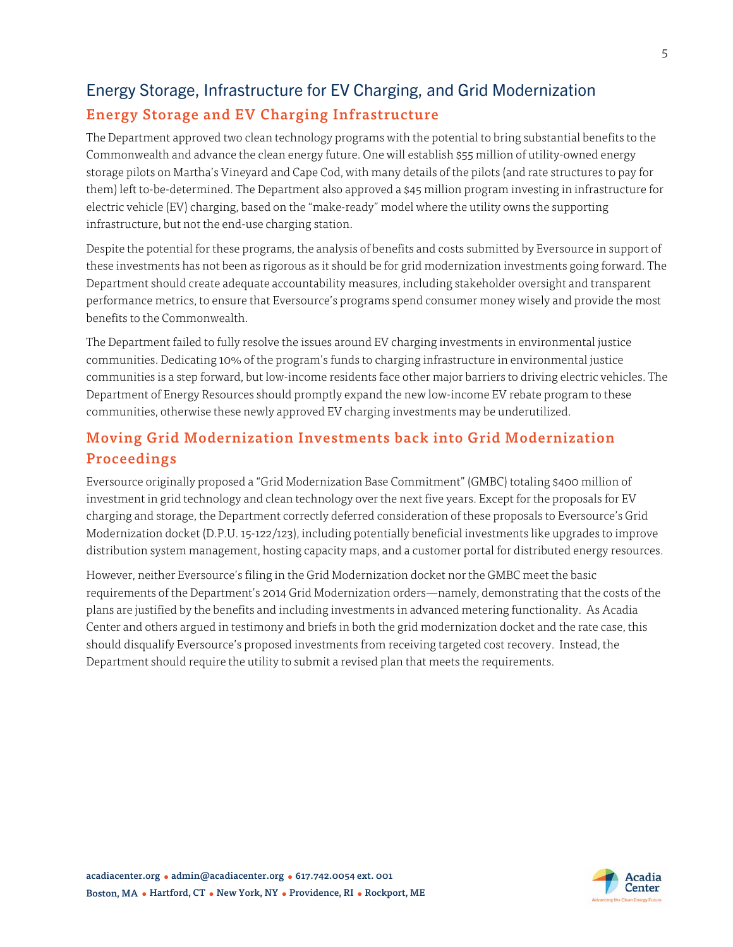# Energy Storage, Infrastructure for EV Charging, and Grid Modernization Energy Storage and EV Charging Infrastructure

The Department approved two clean technology programs with the potential to bring substantial benefits to the Commonwealth and advance the clean energy future. One will establish \$55 million of utility-owned energy storage pilots on Martha's Vineyard and Cape Cod, with many details of the pilots (and rate structures to pay for them) left to-be-determined. The Department also approved a \$45 million program investing in infrastructure for electric vehicle (EV) charging, based on the "make-ready" model where the utility owns the supporting infrastructure, but not the end-use charging station.

Despite the potential for these programs, the analysis of benefits and costs submitted by Eversource in support of these investments has not been as rigorous as it should be for grid modernization investments going forward. The Department should create adequate accountability measures, including stakeholder oversight and transparent performance metrics, to ensure that Eversource's programs spend consumer money wisely and provide the most benefits to the Commonwealth.

The Department failed to fully resolve the issues around EV charging investments in environmental justice communities. Dedicating 10% of the program's funds to charging infrastructure in environmental justice communities is a step forward, but low-income residents face other major barriers to driving electric vehicles. The Department of Energy Resources should promptly expand the new low-income EV rebate program to these communities, otherwise these newly approved EV charging investments may be underutilized.

# Moving Grid Modernization Investments back into Grid Modernization Proceedings

Eversource originally proposed a "Grid Modernization Base Commitment" (GMBC) totaling \$400 million of investment in grid technology and clean technology over the next five years. Except for the proposals for EV charging and storage, the Department correctly deferred consideration of these proposals to Eversource's Grid Modernization docket (D.P.U. 15-122/123), including potentially beneficial investments like upgrades to improve distribution system management, hosting capacity maps, and a customer portal for distributed energy resources.

However, neither Eversource's filing in the Grid Modernization docket nor the GMBC meet the basic requirements of the Department's 2014 Grid Modernization orders—namely, demonstrating that the costs of the plans are justified by the benefits and including investments in advanced metering functionality. As Acadia Center and others argued in testimony and briefs in both the grid modernization docket and the rate case, this should disqualify Eversource's proposed investments from receiving targeted cost recovery. Instead, the Department should require the utility to submit a revised plan that meets the requirements.

5